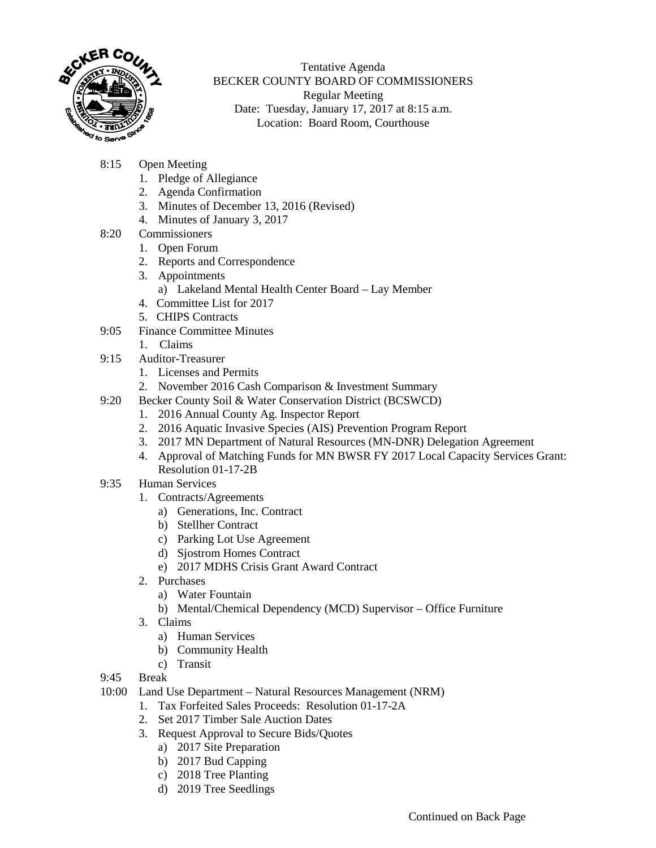

Tentative Agenda BECKER COUNTY BOARD OF COMMISSIONERS Regular Meeting Date: Tuesday, January 17, 2017 at 8:15 a.m. Location: Board Room, Courthouse

- 8:15 Open Meeting
	- 1. Pledge of Allegiance
	- 2. Agenda Confirmation
	- 3. Minutes of December 13, 2016 (Revised)
	- 4. Minutes of January 3, 2017
- 8:20 Commissioners
	- 1. Open Forum
	- 2. Reports and Correspondence
	- 3. Appointments
		- a) Lakeland Mental Health Center Board Lay Member
	- 4. Committee List for 2017
	- 5. CHIPS Contracts
- 9:05 Finance Committee Minutes
	- 1. Claims
- 9:15 Auditor-Treasurer
	- 1. Licenses and Permits
	- 2. November 2016 Cash Comparison & Investment Summary
- 9:20 Becker County Soil & Water Conservation District (BCSWCD)
	- 1. 2016 Annual County Ag. Inspector Report
	- 2. 2016 Aquatic Invasive Species (AIS) Prevention Program Report
	- 3. 2017 MN Department of Natural Resources (MN-DNR) Delegation Agreement
	- 4. Approval of Matching Funds for MN BWSR FY 2017 Local Capacity Services Grant: Resolution 01-17-2B
- 9:35 Human Services
	- 1. Contracts/Agreements
		- a) Generations, Inc. Contract
		- b) Stellher Contract
		- c) Parking Lot Use Agreement
		- d) Sjostrom Homes Contract
		- e) 2017 MDHS Crisis Grant Award Contract
	- 2. Purchases
		- a) Water Fountain
		- b) Mental/Chemical Dependency (MCD) Supervisor Office Furniture
	- 3. Claims
		- a) Human Services
		- b) Community Health
		- c) Transit
- 9:45 Break
- 10:00 Land Use Department Natural Resources Management (NRM)
	- 1. Tax Forfeited Sales Proceeds: Resolution 01-17-2A
	- 2. Set 2017 Timber Sale Auction Dates
	- 3. Request Approval to Secure Bids/Quotes
		- a) 2017 Site Preparation
		- b) 2017 Bud Capping
		- c) 2018 Tree Planting
		- d) 2019 Tree Seedlings